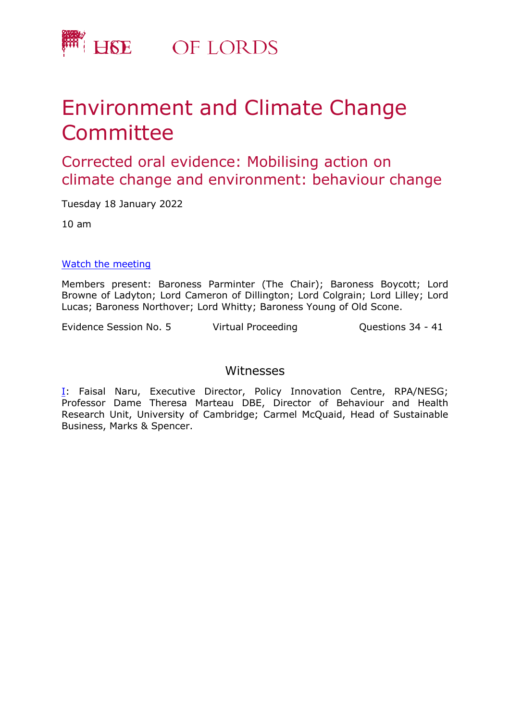

# Environment and Climate Change **Committee**

## Corrected oral evidence: Mobilising action on climate change and environment: behaviour change

Tuesday 18 January 2022

10 am

#### [Watch](https://parliamentlive.tv/event/index/1a43ad5d-a616-4d0a-b2ee-d801c3bdc7b8) [the](https://parliamentlive.tv/event/index/1a43ad5d-a616-4d0a-b2ee-d801c3bdc7b8) [m](https://parliamentlive.tv/event/index/1a43ad5d-a616-4d0a-b2ee-d801c3bdc7b8)eeting

Members present: Baroness Parminter (The Chair); Baroness Boycott; Lord Browne of Ladyton; Lord Cameron of Dillington; Lord Colgrain; Lord Lilley; Lord Lucas; Baroness Northover; Lord Whitty; Baroness Young of Old Scone.

Evidence Session No. 5 Virtual Proceeding Cuestions 34 - 41

#### Witnesses

[I:](#page-1-0) Faisal Naru, Executive Director, Policy Innovation Centre, RPA/NESG; Professor Dame Theresa Marteau DBE, Director of Behaviour and Health Research Unit, University of Cambridge; Carmel McQuaid, Head of Sustainable Business, Marks & Spencer.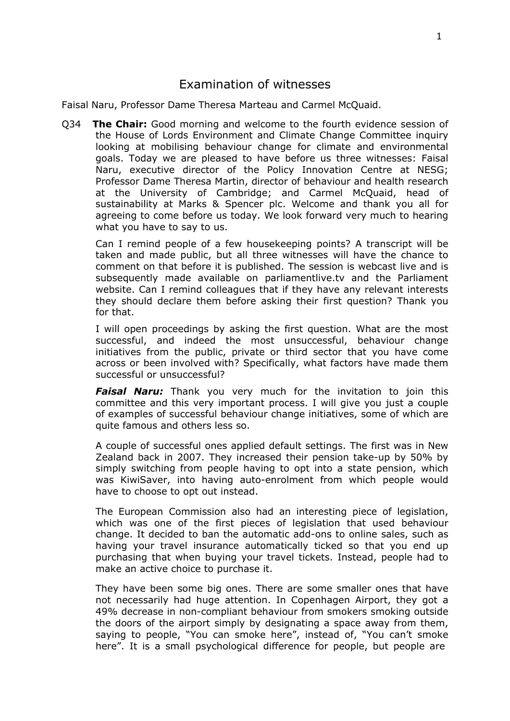### <span id="page-1-0"></span>Examination of witnesses

Faisal Naru, Professor Dame Theresa Marteau and Carmel McQuaid.

Q34 **The Chair:** Good morning and welcome to the fourth evidence session of the House of Lords Environment and Climate Change Committee inquiry looking at mobilising behaviour change for climate and environmental goals. Today we are pleased to have before us three witnesses: Faisal Naru, executive director of the Policy Innovation Centre at NESG; Professor Dame Theresa Martin, director of behaviour and health research at the University of Cambridge; and Carmel McQuaid, head of sustainability at Marks & Spencer plc. Welcome and thank you all for agreeing to come before us today. We look forward very much to hearing what you have to say to us.

Can I remind people of a few housekeeping points? A transcript will be taken and made public, but all three witnesses will have the chance to comment on that before it is published. The session is webcast live and is subsequently made available on parliamentlive.ty and the Parliament website. Can I remind colleagues that if they have any relevant interests they should declare them before asking their first question? Thank you for that.

I will open proceedings by asking the first question. What are the most successful, and indeed the most unsuccessful, behaviour change initiatives from the public, private or third sector that you have come across or been involved with? Specifically, what factors have made them successful or unsuccessful?

*Faisal Naru:* Thank you very much for the invitation to join this committee and this very important process. I will give you just a couple of examples of successful behaviour change initiatives, some of which are quite famous and others less so.

A couple of successful ones applied default settings. The first was in New Zealand back in 2007. They increased their pension take-up by 50% by simply switching from people having to opt into a state pension, which was KiwiSaver, into having auto-enrolment from which people would have to choose to opt out instead.

The European Commission also had an interesting piece of legislation, which was one of the first pieces of legislation that used behaviour change. It decided to ban the automatic add-ons to online sales, such as having your travel insurance automatically ticked so that you end up purchasing that when buying your travel tickets. Instead, people had to make an active choice to purchase it.

They have been some big ones. There are some smaller ones that have not necessarily had huge attention. In Copenhagen Airport, they got a 49% decrease in non-compliant behaviour from smokers smoking outside the doors of the airport simply by designating a space away from them, saying to people, "You can smoke here", instead of, "You can't smoke here". It is a small psychological difference for people, but people are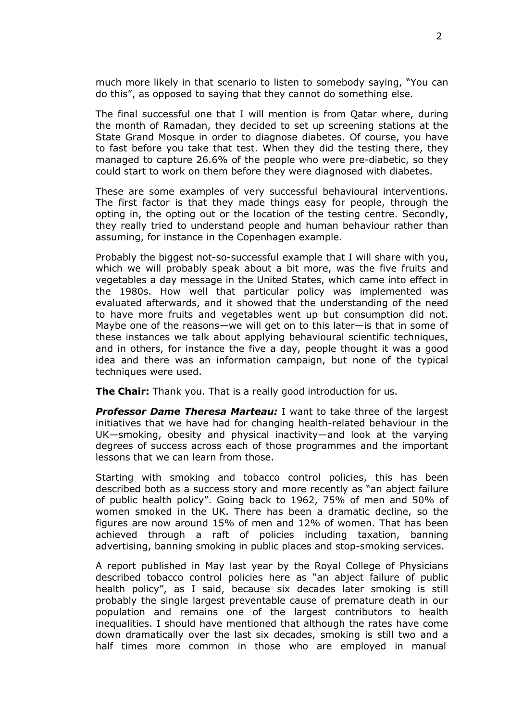much more likely in that scenario to listen to somebody saying, "You can do this", as opposed to saying that they cannot do something else.

The final successful one that I will mention is from Qatar where, during the month of Ramadan, they decided to set up screening stations at the State Grand Mosque in order to diagnose diabetes. Of course, you have to fast before you take that test. When they did the testing there, they managed to capture 26.6% of the people who were pre-diabetic, so they could start to work on them before they were diagnosed with diabetes.

These are some examples of very successful behavioural interventions. The first factor is that they made things easy for people, through the opting in, the opting out or the location of the testing centre. Secondly, they really tried to understand people and human behaviour rather than assuming, for instance in the Copenhagen example.

Probably the biggest not-so-successful example that I will share with you, which we will probably speak about a bit more, was the five fruits and vegetables a day message in the United States, which came into effect in the 1980s. How well that particular policy was implemented was evaluated afterwards, and it showed that the understanding of the need to have more fruits and vegetables went up but consumption did not. Maybe one of the reasons—we will get on to this later—is that in some of these instances we talk about applying behavioural scientific techniques, and in others, for instance the five a day, people thought it was a good idea and there was an information campaign, but none of the typical techniques were used.

**The Chair:** Thank you. That is a really good introduction for us.

*Professor Dame Theresa Marteau:* I want to take three of the largest initiatives that we have had for changing health-related behaviour in the UK—smoking, obesity and physical inactivity—and look at the varying degrees of success across each of those programmes and the important lessons that we can learn from those.

Starting with smoking and tobacco control policies, this has been described both as a success story and more recently as "an abject failure of public health policy". Going back to 1962, 75% of men and 50% of women smoked in the UK. There has been a dramatic decline, so the figures are now around 15% of men and 12% of women. That has been achieved through a raft of policies including taxation, banning advertising, banning smoking in public places and stop-smoking services.

A report published in May last year by the Royal College of Physicians described tobacco control policies here as "an abject failure of public health policy", as I said, because six decades later smoking is still probably the single largest preventable cause of premature death in our population and remains one of the largest contributors to health inequalities. I should have mentioned that although the rates have come down dramatically over the last six decades, smoking is still two and a half times more common in those who are employed in manual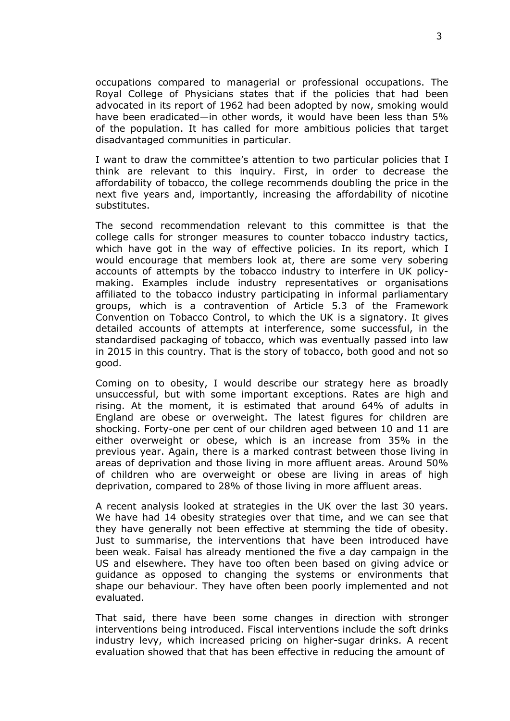occupations compared to managerial or professional occupations. The Royal College of Physicians states that if the policies that had been advocated in its report of 1962 had been adopted by now, smoking would have been eradicated—in other words, it would have been less than 5% of the population. It has called for more ambitious policies that target disadvantaged communities in particular.

I want to draw the committee's attention to two particular policies that I think are relevant to this inquiry. First, in order to decrease the affordability of tobacco, the college recommends doubling the price in the next five years and, importantly, increasing the affordability of nicotine substitutes.

The second recommendation relevant to this committee is that the college calls for stronger measures to counter tobacco industry tactics, which have got in the way of effective policies. In its report, which I would encourage that members look at, there are some very sobering accounts of attempts by the tobacco industry to interfere in UK policymaking. Examples include industry representatives or organisations affiliated to the tobacco industry participating in informal parliamentary groups, which is a contravention of Article 5.3 of the Framework Convention on Tobacco Control, to which the UK is a signatory. It gives detailed accounts of attempts at interference, some successful, in the standardised packaging of tobacco, which was eventually passed into law in 2015 in this country. That is the story of tobacco, both good and not so good.

Coming on to obesity, I would describe our strategy here as broadly unsuccessful, but with some important exceptions. Rates are high and rising. At the moment, it is estimated that around 64% of adults in England are obese or overweight. The latest figures for children are shocking. Forty-one per cent of our children aged between 10 and 11 are either overweight or obese, which is an increase from 35% in the previous year. Again, there is a marked contrast between those living in areas of deprivation and those living in more affluent areas. Around 50% of children who are overweight or obese are living in areas of high deprivation, compared to 28% of those living in more affluent areas.

A recent analysis looked at strategies in the UK over the last 30 years. We have had 14 obesity strategies over that time, and we can see that they have generally not been effective at stemming the tide of obesity. Just to summarise, the interventions that have been introduced have been weak. Faisal has already mentioned the five a day campaign in the US and elsewhere. They have too often been based on giving advice or guidance as opposed to changing the systems or environments that shape our behaviour. They have often been poorly implemented and not evaluated.

That said, there have been some changes in direction with stronger interventions being introduced. Fiscal interventions include the soft drinks industry levy, which increased pricing on higher-sugar drinks. A recent evaluation showed that that has been effective in reducing the amount of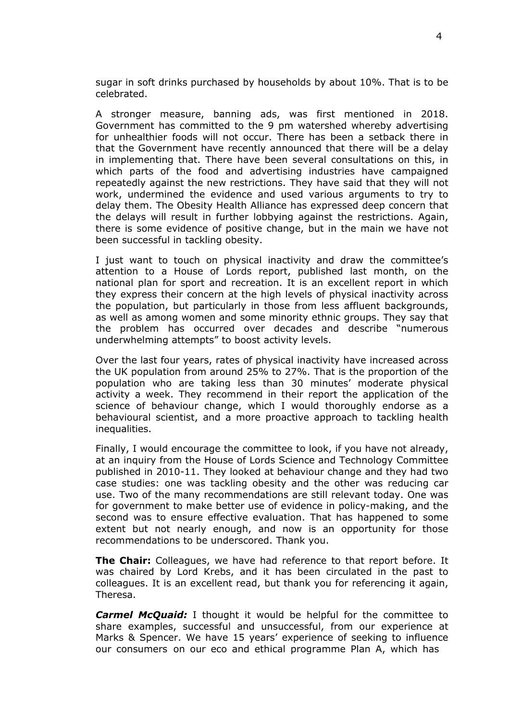sugar in soft drinks purchased by households by about 10%. That is to be celebrated.

A stronger measure, banning ads, was first mentioned in 2018. Government has committed to the 9 pm watershed whereby advertising for unhealthier foods will not occur. There has been a setback there in that the Government have recently announced that there will be a delay in implementing that. There have been several consultations on this, in which parts of the food and advertising industries have campaigned repeatedly against the new restrictions. They have said that they will not work, undermined the evidence and used various arguments to try to delay them. The Obesity Health Alliance has expressed deep concern that the delays will result in further lobbying against the restrictions. Again, there is some evidence of positive change, but in the main we have not been successful in tackling obesity.

I just want to touch on physical inactivity and draw the committee's attention to a House of Lords report, published last month, on the national plan for sport and recreation. It is an excellent report in which they express their concern at the high levels of physical inactivity across the population, but particularly in those from less affluent backgrounds, as well as among women and some minority ethnic groups. They say that the problem has occurred over decades and describe "numerous underwhelming attempts" to boost activity levels.

Over the last four years, rates of physical inactivity have increased across the UK population from around 25% to 27%. That is the proportion of the population who are taking less than 30 minutes' moderate physical activity a week. They recommend in their report the application of the science of behaviour change, which I would thoroughly endorse as a behavioural scientist, and a more proactive approach to tackling health inequalities.

Finally, I would encourage the committee to look, if you have not already, at an inquiry from the House of Lords Science and Technology Committee published in 2010-11. They looked at behaviour change and they had two case studies: one was tackling obesity and the other was reducing car use. Two of the many recommendations are still relevant today. One was for government to make better use of evidence in policy-making, and the second was to ensure effective evaluation. That has happened to some extent but not nearly enough, and now is an opportunity for those recommendations to be underscored. Thank you.

**The Chair:** Colleagues, we have had reference to that report before. It was chaired by Lord Krebs, and it has been circulated in the past to colleagues. It is an excellent read, but thank you for referencing it again, Theresa.

*Carmel McQuaid:* I thought it would be helpful for the committee to share examples, successful and unsuccessful, from our experience at Marks & Spencer. We have 15 years' experience of seeking to influence our consumers on our eco and ethical programme Plan A, which has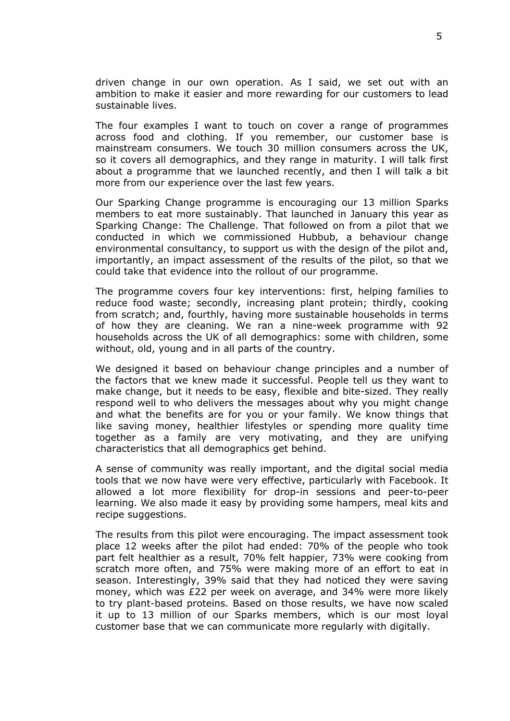driven change in our own operation. As I said, we set out with an ambition to make it easier and more rewarding for our customers to lead sustainable lives.

The four examples I want to touch on cover a range of programmes across food and clothing. If you remember, our customer base is mainstream consumers. We touch 30 million consumers across the UK, so it covers all demographics, and they range in maturity. I will talk first about a programme that we launched recently, and then I will talk a bit more from our experience over the last few years.

Our Sparking Change programme is encouraging our 13 million Sparks members to eat more sustainably. That launched in January this year as Sparking Change: The Challenge. That followed on from a pilot that we conducted in which we commissioned Hubbub, a behaviour change environmental consultancy, to support us with the design of the pilot and, importantly, an impact assessment of the results of the pilot, so that we could take that evidence into the rollout of our programme.

The programme covers four key interventions: first, helping families to reduce food waste; secondly, increasing plant protein; thirdly, cooking from scratch; and, fourthly, having more sustainable households in terms of how they are cleaning. We ran a nine-week programme with 92 households across the UK of all demographics: some with children, some without, old, young and in all parts of the country.

We designed it based on behaviour change principles and a number of the factors that we knew made it successful. People tell us they want to make change, but it needs to be easy, flexible and bite-sized. They really respond well to who delivers the messages about why you might change and what the benefits are for you or your family. We know things that like saving money, healthier lifestyles or spending more quality time together as a family are very motivating, and they are unifying characteristics that all demographics get behind.

A sense of community was really important, and the digital social media tools that we now have were very effective, particularly with Facebook. It allowed a lot more flexibility for drop-in sessions and peer-to-peer learning. We also made it easy by providing some hampers, meal kits and recipe suggestions.

The results from this pilot were encouraging. The impact assessment took place 12 weeks after the pilot had ended: 70% of the people who took part felt healthier as a result, 70% felt happier, 73% were cooking from scratch more often, and 75% were making more of an effort to eat in season. Interestingly, 39% said that they had noticed they were saving money, which was £22 per week on average, and 34% were more likely to try plant-based proteins. Based on those results, we have now scaled it up to 13 million of our Sparks members, which is our most loyal customer base that we can communicate more regularly with digitally.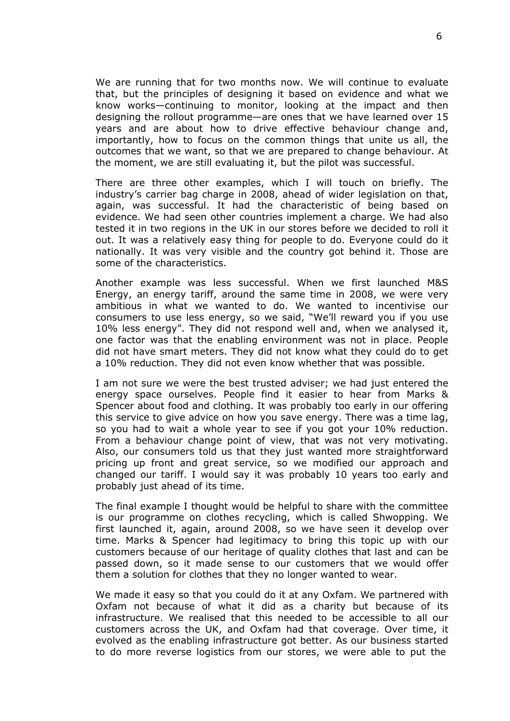We are running that for two months now. We will continue to evaluate that, but the principles of designing it based on evidence and what we know works—continuing to monitor, looking at the impact and then designing the rollout programme—are ones that we have learned over 15 years and are about how to drive effective behaviour change and, importantly, how to focus on the common things that unite us all, the outcomes that we want, so that we are prepared to change behaviour. At the moment, we are still evaluating it, but the pilot was successful.

There are three other examples, which I will touch on briefly. The industry's carrier bag charge in 2008, ahead of wider legislation on that, again, was successful. It had the characteristic of being based on evidence. We had seen other countries implement a charge. We had also tested it in two regions in the UK in our stores before we decided to roll it out. It was a relatively easy thing for people to do. Everyone could do it nationally. It was very visible and the country got behind it. Those are some of the characteristics.

Another example was less successful. When we first launched M&S Energy, an energy tariff, around the same time in 2008, we were very ambitious in what we wanted to do. We wanted to incentivise our consumers to use less energy, so we said, "We'll reward you if you use 10% less energy". They did not respond well and, when we analysed it, one factor was that the enabling environment was not in place. People did not have smart meters. They did not know what they could do to get a 10% reduction. They did not even know whether that was possible.

I am not sure we were the best trusted adviser; we had just entered the energy space ourselves. People find it easier to hear from Marks & Spencer about food and clothing. It was probably too early in our offering this service to give advice on how you save energy. There was a time lag, so you had to wait a whole year to see if you got your 10% reduction. From a behaviour change point of view, that was not very motivating. Also, our consumers told us that they just wanted more straightforward pricing up front and great service, so we modified our approach and changed our tariff. I would say it was probably 10 years too early and probably just ahead of its time.

The final example I thought would be helpful to share with the committee is our programme on clothes recycling, which is called Shwopping. We first launched it, again, around 2008, so we have seen it develop over time. Marks & Spencer had legitimacy to bring this topic up with our customers because of our heritage of quality clothes that last and can be passed down, so it made sense to our customers that we would offer them a solution for clothes that they no longer wanted to wear.

We made it easy so that you could do it at any Oxfam. We partnered with Oxfam not because of what it did as a charity but because of its infrastructure. We realised that this needed to be accessible to all our customers across the UK, and Oxfam had that coverage. Over time, it evolved as the enabling infrastructure got better. As our business started to do more reverse logistics from our stores, we were able to put the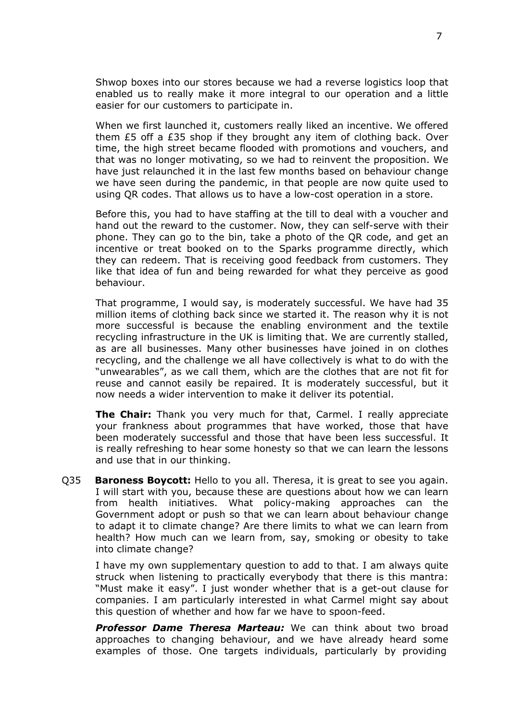Shwop boxes into our stores because we had a reverse logistics loop that enabled us to really make it more integral to our operation and a little easier for our customers to participate in.

When we first launched it, customers really liked an incentive. We offered them £5 off a £35 shop if they brought any item of clothing back. Over time, the high street became flooded with promotions and vouchers, and that was no longer motivating, so we had to reinvent the proposition. We have just relaunched it in the last few months based on behaviour change we have seen during the pandemic, in that people are now quite used to using QR codes. That allows us to have a low-cost operation in a store.

Before this, you had to have staffing at the till to deal with a voucher and hand out the reward to the customer. Now, they can self-serve with their phone. They can go to the bin, take a photo of the QR code, and get an incentive or treat booked on to the Sparks programme directly, which they can redeem. That is receiving good feedback from customers. They like that idea of fun and being rewarded for what they perceive as good behaviour.

That programme, I would say, is moderately successful. We have had 35 million items of clothing back since we started it. The reason why it is not more successful is because the enabling environment and the textile recycling infrastructure in the UK is limiting that. We are currently stalled, as are all businesses. Many other businesses have joined in on clothes recycling, and the challenge we all have collectively is what to do with the "unwearables", as we call them, which are the clothes that are not fit for reuse and cannot easily be repaired. It is moderately successful, but it now needs a wider intervention to make it deliver its potential.

**The Chair:** Thank you very much for that, Carmel. I really appreciate your frankness about programmes that have worked, those that have been moderately successful and those that have been less successful. It is really refreshing to hear some honesty so that we can learn the lessons and use that in our thinking.

Q35 **Baroness Boycott:** Hello to you all. Theresa, it is great to see you again. I will start with you, because these are questions about how we can learn from health initiatives. What policy-making approaches can the Government adopt or push so that we can learn about behaviour change to adapt it to climate change? Are there limits to what we can learn from health? How much can we learn from, say, smoking or obesity to take into climate change?

I have my own supplementary question to add to that. I am always quite struck when listening to practically everybody that there is this mantra: "Must make it easy". I just wonder whether that is a get-out clause for companies. I am particularly interested in what Carmel might say about this question of whether and how far we have to spoon-feed.

*Professor Dame Theresa Marteau:* We can think about two broad approaches to changing behaviour, and we have already heard some examples of those. One targets individuals, particularly by providing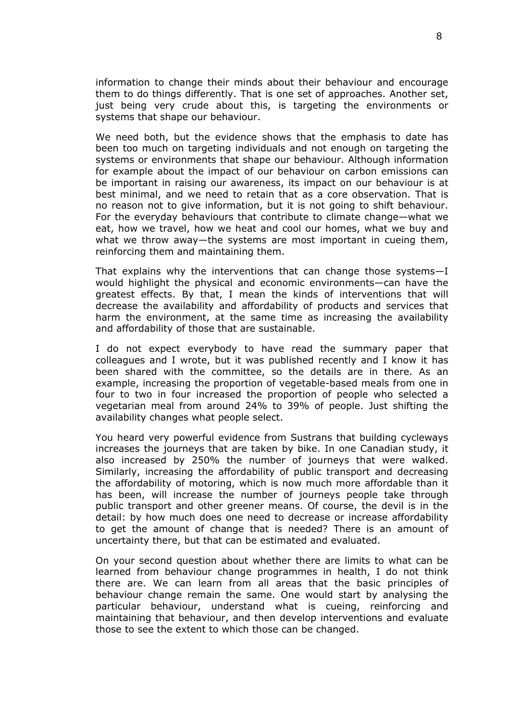information to change their minds about their behaviour and encourage them to do things differently. That is one set of approaches. Another set, just being very crude about this, is targeting the environments or systems that shape our behaviour.

We need both, but the evidence shows that the emphasis to date has been too much on targeting individuals and not enough on targeting the systems or environments that shape our behaviour. Although information for example about the impact of our behaviour on carbon emissions can be important in raising our awareness, its impact on our behaviour is at best minimal, and we need to retain that as a core observation. That is no reason not to give information, but it is not going to shift behaviour. For the everyday behaviours that contribute to climate change—what we eat, how we travel, how we heat and cool our homes, what we buy and what we throw away—the systems are most important in cueing them, reinforcing them and maintaining them.

That explains why the interventions that can change those systems—I would highlight the physical and economic environments—can have the greatest effects. By that, I mean the kinds of interventions that will decrease the availability and affordability of products and services that harm the environment, at the same time as increasing the availability and affordability of those that are sustainable.

I do not expect everybody to have read the summary paper that colleagues and I wrote, but it was published recently and I know it has been shared with the committee, so the details are in there. As an example, increasing the proportion of vegetable-based meals from one in four to two in four increased the proportion of people who selected a vegetarian meal from around 24% to 39% of people. Just shifting the availability changes what people select.

You heard very powerful evidence from Sustrans that building cycleways increases the journeys that are taken by bike. In one Canadian study, it also increased by 250% the number of journeys that were walked. Similarly, increasing the affordability of public transport and decreasing the affordability of motoring, which is now much more affordable than it has been, will increase the number of journeys people take through public transport and other greener means. Of course, the devil is in the detail: by how much does one need to decrease or increase affordability to get the amount of change that is needed? There is an amount of uncertainty there, but that can be estimated and evaluated.

On your second question about whether there are limits to what can be learned from behaviour change programmes in health, I do not think there are. We can learn from all areas that the basic principles of behaviour change remain the same. One would start by analysing the particular behaviour, understand what is cueing, reinforcing and maintaining that behaviour, and then develop interventions and evaluate those to see the extent to which those can be changed.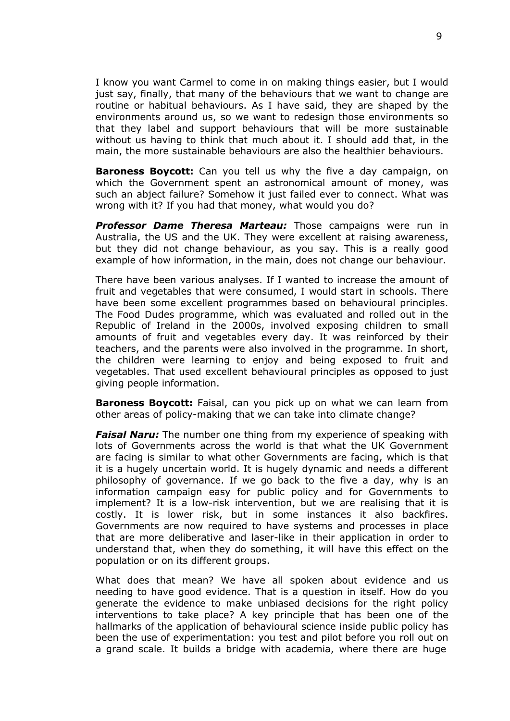I know you want Carmel to come in on making things easier, but I would just say, finally, that many of the behaviours that we want to change are routine or habitual behaviours. As I have said, they are shaped by the environments around us, so we want to redesign those environments so that they label and support behaviours that will be more sustainable without us having to think that much about it. I should add that, in the main, the more sustainable behaviours are also the healthier behaviours.

**Baroness Boycott:** Can you tell us why the five a day campaign, on which the Government spent an astronomical amount of money, was such an abject failure? Somehow it just failed ever to connect. What was wrong with it? If you had that money, what would you do?

*Professor Dame Theresa Marteau:* Those campaigns were run in Australia, the US and the UK. They were excellent at raising awareness, but they did not change behaviour, as you say. This is a really good example of how information, in the main, does not change our behaviour.

There have been various analyses. If I wanted to increase the amount of fruit and vegetables that were consumed, I would start in schools. There have been some excellent programmes based on behavioural principles. The Food Dudes programme, which was evaluated and rolled out in the Republic of Ireland in the 2000s, involved exposing children to small amounts of fruit and vegetables every day. It was reinforced by their teachers, and the parents were also involved in the programme. In short, the children were learning to enjoy and being exposed to fruit and vegetables. That used excellent behavioural principles as opposed to just giving people information.

**Baroness Boycott:** Faisal, can you pick up on what we can learn from other areas of policy-making that we can take into climate change?

*Faisal Naru:* The number one thing from my experience of speaking with lots of Governments across the world is that what the UK Government are facing is similar to what other Governments are facing, which is that it is a hugely uncertain world. It is hugely dynamic and needs a different philosophy of governance. If we go back to the five a day, why is an information campaign easy for public policy and for Governments to implement? It is a low-risk intervention, but we are realising that it is costly. It is lower risk, but in some instances it also backfires. Governments are now required to have systems and processes in place that are more deliberative and laser-like in their application in order to understand that, when they do something, it will have this effect on the population or on its different groups.

What does that mean? We have all spoken about evidence and us needing to have good evidence. That is a question in itself. How do you generate the evidence to make unbiased decisions for the right policy interventions to take place? A key principle that has been one of the hallmarks of the application of behavioural science inside public policy has been the use of experimentation: you test and pilot before you roll out on a grand scale. It builds a bridge with academia, where there are huge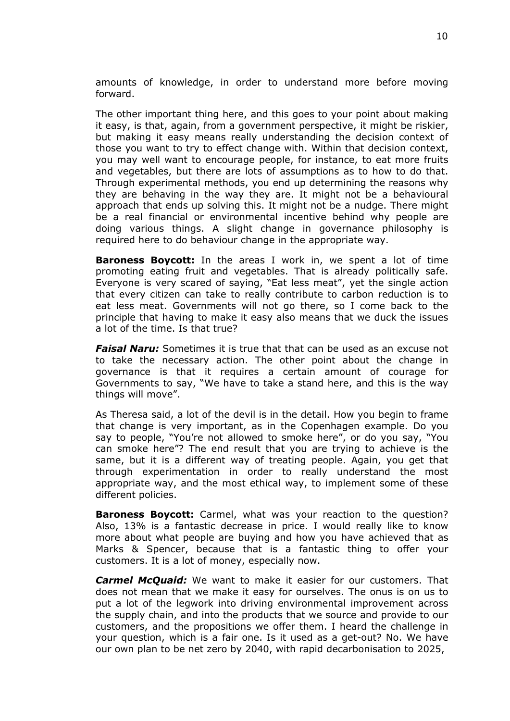amounts of knowledge, in order to understand more before moving forward.

The other important thing here, and this goes to your point about making it easy, is that, again, from a government perspective, it might be riskier, but making it easy means really understanding the decision context of those you want to try to effect change with. Within that decision context, you may well want to encourage people, for instance, to eat more fruits and vegetables, but there are lots of assumptions as to how to do that. Through experimental methods, you end up determining the reasons why they are behaving in the way they are. It might not be a behavioural approach that ends up solving this. It might not be a nudge. There might be a real financial or environmental incentive behind why people are doing various things. A slight change in governance philosophy is required here to do behaviour change in the appropriate way.

**Baroness Boycott:** In the areas I work in, we spent a lot of time promoting eating fruit and vegetables. That is already politically safe. Everyone is very scared of saying, "Eat less meat", yet the single action that every citizen can take to really contribute to carbon reduction is to eat less meat. Governments will not go there, so I come back to the principle that having to make it easy also means that we duck the issues a lot of the time. Is that true?

*Faisal Naru:* Sometimes it is true that that can be used as an excuse not to take the necessary action. The other point about the change in governance is that it requires a certain amount of courage for Governments to say, "We have to take a stand here, and this is the way things will move".

As Theresa said, a lot of the devil is in the detail. How you begin to frame that change is very important, as in the Copenhagen example. Do you say to people, "You're not allowed to smoke here", or do you say, "You can smoke here"? The end result that you are trying to achieve is the same, but it is a different way of treating people. Again, you get that through experimentation in order to really understand the most appropriate way, and the most ethical way, to implement some of these different policies.

**Baroness Boycott:** Carmel, what was your reaction to the question? Also, 13% is a fantastic decrease in price. I would really like to know more about what people are buying and how you have achieved that as Marks & Spencer, because that is a fantastic thing to offer your customers. It is a lot of money, especially now.

*Carmel McQuaid:* We want to make it easier for our customers. That does not mean that we make it easy for ourselves. The onus is on us to put a lot of the legwork into driving environmental improvement across the supply chain, and into the products that we source and provide to our customers, and the propositions we offer them. I heard the challenge in your question, which is a fair one. Is it used as a get-out? No. We have our own plan to be net zero by 2040, with rapid decarbonisation to 2025,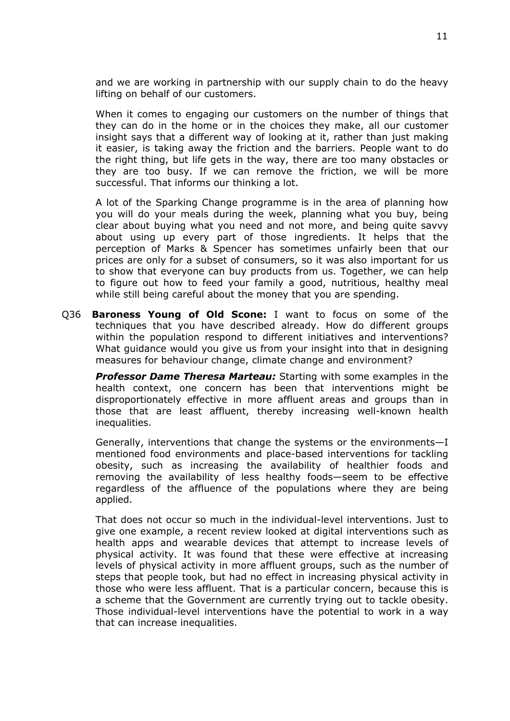and we are working in partnership with our supply chain to do the heavy lifting on behalf of our customers.

When it comes to engaging our customers on the number of things that they can do in the home or in the choices they make, all our customer insight says that a different way of looking at it, rather than just making it easier, is taking away the friction and the barriers. People want to do the right thing, but life gets in the way, there are too many obstacles or they are too busy. If we can remove the friction, we will be more successful. That informs our thinking a lot.

A lot of the Sparking Change programme is in the area of planning how you will do your meals during the week, planning what you buy, being clear about buying what you need and not more, and being quite savvy about using up every part of those ingredients. It helps that the perception of Marks & Spencer has sometimes unfairly been that our prices are only for a subset of consumers, so it was also important for us to show that everyone can buy products from us. Together, we can help to figure out how to feed your family a good, nutritious, healthy meal while still being careful about the money that you are spending.

Q36 **Baroness Young of Old Scone:** I want to focus on some of the techniques that you have described already. How do different groups within the population respond to different initiatives and interventions? What guidance would you give us from your insight into that in designing measures for behaviour change, climate change and environment?

*Professor Dame Theresa Marteau:* Starting with some examples in the health context, one concern has been that interventions might be disproportionately effective in more affluent areas and groups than in those that are least affluent, thereby increasing well-known health inequalities.

Generally, interventions that change the systems or the environments—I mentioned food environments and place-based interventions for tackling obesity, such as increasing the availability of healthier foods and removing the availability of less healthy foods—seem to be effective regardless of the affluence of the populations where they are being applied.

That does not occur so much in the individual-level interventions. Just to give one example, a recent review looked at digital interventions such as health apps and wearable devices that attempt to increase levels of physical activity. It was found that these were effective at increasing levels of physical activity in more affluent groups, such as the number of steps that people took, but had no effect in increasing physical activity in those who were less affluent. That is a particular concern, because this is a scheme that the Government are currently trying out to tackle obesity. Those individual-level interventions have the potential to work in a way that can increase inequalities.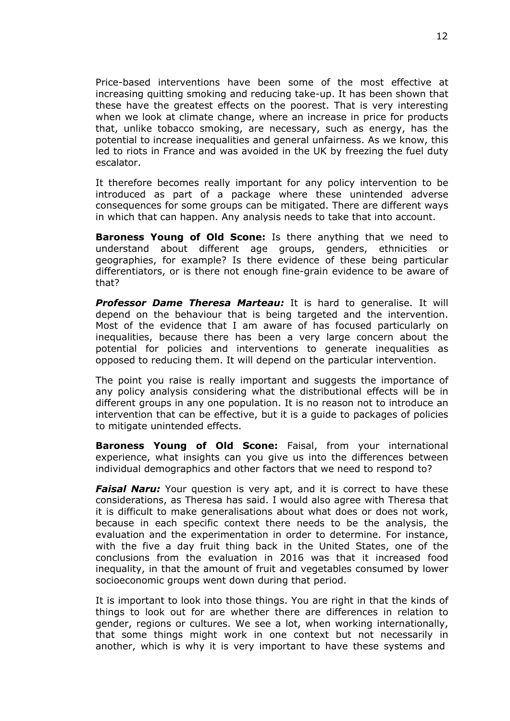Price-based interventions have been some of the most effective at increasing quitting smoking and reducing take-up. It has been shown that these have the greatest effects on the poorest. That is very interesting when we look at climate change, where an increase in price for products that, unlike tobacco smoking, are necessary, such as energy, has the potential to increase inequalities and general unfairness. As we know, this led to riots in France and was avoided in the UK by freezing the fuel duty escalator.

It therefore becomes really important for any policy intervention to be introduced as part of a package where these unintended adverse consequences for some groups can be mitigated. There are different ways in which that can happen. Any analysis needs to take that into account.

**Baroness Young of Old Scone:** Is there anything that we need to understand about different age groups, genders, ethnicities or geographies, for example? Is there evidence of these being particular differentiators, or is there not enough fine-grain evidence to be aware of that?

*Professor Dame Theresa Marteau:* It is hard to generalise. It will depend on the behaviour that is being targeted and the intervention. Most of the evidence that I am aware of has focused particularly on inequalities, because there has been a very large concern about the potential for policies and interventions to generate inequalities as opposed to reducing them. It will depend on the particular intervention.

The point you raise is really important and suggests the importance of any policy analysis considering what the distributional effects will be in different groups in any one population. It is no reason not to introduce an intervention that can be effective, but it is a guide to packages of policies to mitigate unintended effects.

**Baroness Young of Old Scone:** Faisal, from your international experience, what insights can you give us into the differences between individual demographics and other factors that we need to respond to?

**Faisal Naru:** Your question is very apt, and it is correct to have these considerations, as Theresa has said. I would also agree with Theresa that it is difficult to make generalisations about what does or does not work, because in each specific context there needs to be the analysis, the evaluation and the experimentation in order to determine. For instance, with the five a day fruit thing back in the United States, one of the conclusions from the evaluation in 2016 was that it increased food inequality, in that the amount of fruit and vegetables consumed by lower socioeconomic groups went down during that period.

It is important to look into those things. You are right in that the kinds of things to look out for are whether there are differences in relation to gender, regions or cultures. We see a lot, when working internationally, that some things might work in one context but not necessarily in another, which is why it is very important to have these systems and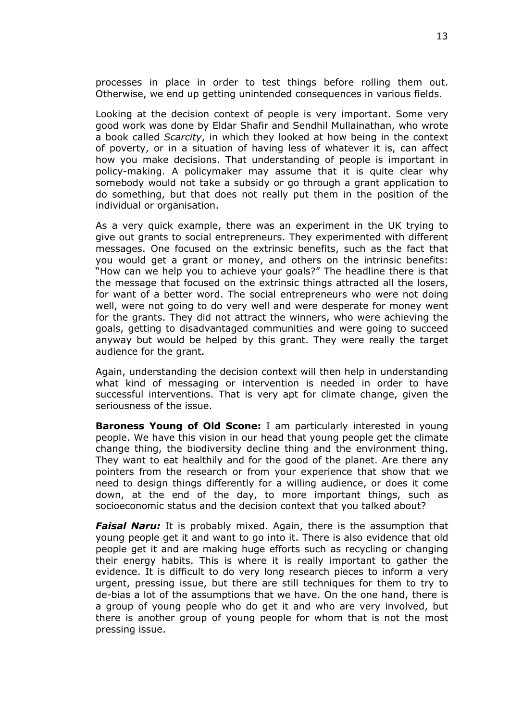processes in place in order to test things before rolling them out. Otherwise, we end up getting unintended consequences in various fields.

Looking at the decision context of people is very important. Some very good work was done by Eldar Shafir and Sendhil Mullainathan, who wrote a book called *Scarcity*, in which they looked at how being in the context of poverty, or in a situation of having less of whatever it is, can affect how you make decisions. That understanding of people is important in policy-making. A policymaker may assume that it is quite clear why somebody would not take a subsidy or go through a grant application to do something, but that does not really put them in the position of the individual or organisation.

As a very quick example, there was an experiment in the UK trying to give out grants to social entrepreneurs. They experimented with different messages. One focused on the extrinsic benefits, such as the fact that you would get a grant or money, and others on the intrinsic benefits: "How can we help you to achieve your goals?" The headline there is that the message that focused on the extrinsic things attracted all the losers, for want of a better word. The social entrepreneurs who were not doing well, were not going to do very well and were desperate for money went for the grants. They did not attract the winners, who were achieving the goals, getting to disadvantaged communities and were going to succeed anyway but would be helped by this grant. They were really the target audience for the grant.

Again, understanding the decision context will then help in understanding what kind of messaging or intervention is needed in order to have successful interventions. That is very apt for climate change, given the seriousness of the issue.

**Baroness Young of Old Scone:** I am particularly interested in young people. We have this vision in our head that young people get the climate change thing, the biodiversity decline thing and the environment thing. They want to eat healthily and for the good of the planet. Are there any pointers from the research or from your experience that show that we need to design things differently for a willing audience, or does it come down, at the end of the day, to more important things, such as socioeconomic status and the decision context that you talked about?

*Faisal Naru:* It is probably mixed. Again, there is the assumption that young people get it and want to go into it. There is also evidence that old people get it and are making huge efforts such as recycling or changing their energy habits. This is where it is really important to gather the evidence. It is difficult to do very long research pieces to inform a very urgent, pressing issue, but there are still techniques for them to try to de-bias a lot of the assumptions that we have. On the one hand, there is a group of young people who do get it and who are very involved, but there is another group of young people for whom that is not the most pressing issue.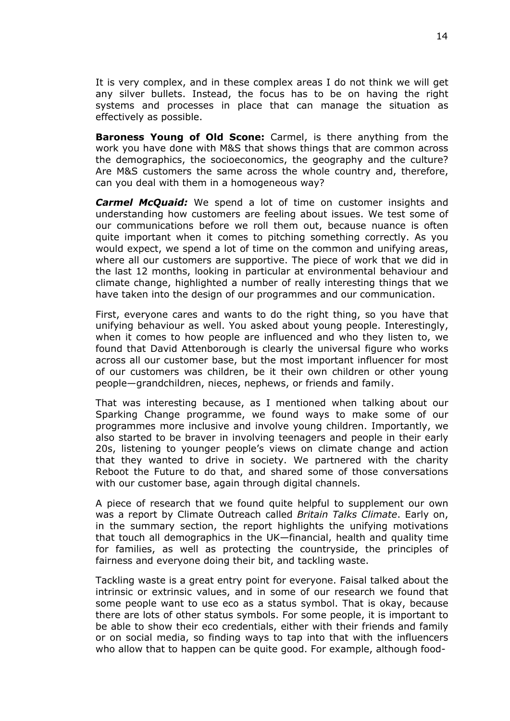It is very complex, and in these complex areas I do not think we will get any silver bullets. Instead, the focus has to be on having the right systems and processes in place that can manage the situation as effectively as possible.

**Baroness Young of Old Scone:** Carmel, is there anything from the work you have done with M&S that shows things that are common across the demographics, the socioeconomics, the geography and the culture? Are M&S customers the same across the whole country and, therefore, can you deal with them in a homogeneous way?

*Carmel McQuaid:* We spend a lot of time on customer insights and understanding how customers are feeling about issues. We test some of our communications before we roll them out, because nuance is often quite important when it comes to pitching something correctly. As you would expect, we spend a lot of time on the common and unifying areas, where all our customers are supportive. The piece of work that we did in the last 12 months, looking in particular at environmental behaviour and climate change, highlighted a number of really interesting things that we have taken into the design of our programmes and our communication.

First, everyone cares and wants to do the right thing, so you have that unifying behaviour as well. You asked about young people. Interestingly, when it comes to how people are influenced and who they listen to, we found that David Attenborough is clearly the universal figure who works across all our customer base, but the most important influencer for most of our customers was children, be it their own children or other young people—grandchildren, nieces, nephews, or friends and family.

That was interesting because, as I mentioned when talking about our Sparking Change programme, we found ways to make some of our programmes more inclusive and involve young children. Importantly, we also started to be braver in involving teenagers and people in their early 20s, listening to younger people's views on climate change and action that they wanted to drive in society. We partnered with the charity Reboot the Future to do that, and shared some of those conversations with our customer base, again through digital channels.

A piece of research that we found quite helpful to supplement our own was a report by Climate Outreach called *Britain Talks Climate*. Early on, in the summary section, the report highlights the unifying motivations that touch all demographics in the UK—financial, health and quality time for families, as well as protecting the countryside, the principles of fairness and everyone doing their bit, and tackling waste.

Tackling waste is a great entry point for everyone. Faisal talked about the intrinsic or extrinsic values, and in some of our research we found that some people want to use eco as a status symbol. That is okay, because there are lots of other status symbols. For some people, it is important to be able to show their eco credentials, either with their friends and family or on social media, so finding ways to tap into that with the influencers who allow that to happen can be quite good. For example, although food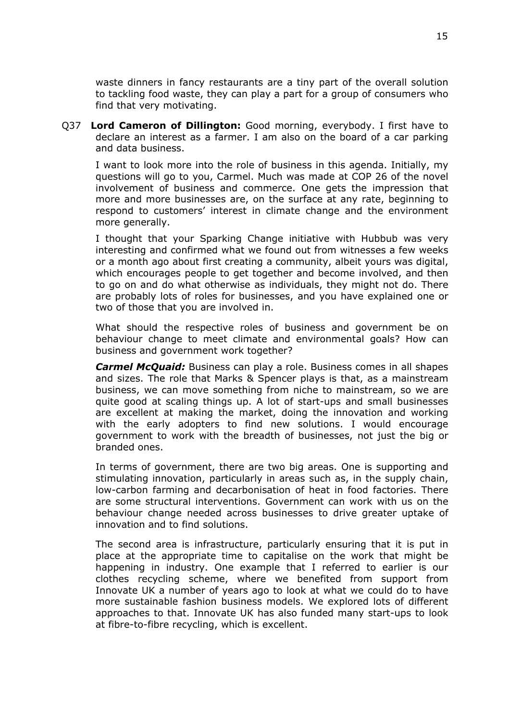waste dinners in fancy restaurants are a tiny part of the overall solution to tackling food waste, they can play a part for a group of consumers who find that very motivating.

Q37 **Lord Cameron of Dillington:** Good morning, everybody. I first have to declare an interest as a farmer. I am also on the board of a car parking and data business.

I want to look more into the role of business in this agenda. Initially, my questions will go to you, Carmel. Much was made at COP 26 of the novel involvement of business and commerce. One gets the impression that more and more businesses are, on the surface at any rate, beginning to respond to customers' interest in climate change and the environment more generally.

I thought that your Sparking Change initiative with Hubbub was very interesting and confirmed what we found out from witnesses a few weeks or a month ago about first creating a community, albeit yours was digital, which encourages people to get together and become involved, and then to go on and do what otherwise as individuals, they might not do. There are probably lots of roles for businesses, and you have explained one or two of those that you are involved in.

What should the respective roles of business and government be on behaviour change to meet climate and environmental goals? How can business and government work together?

*Carmel McQuaid:* Business can play a role. Business comes in all shapes and sizes. The role that Marks & Spencer plays is that, as a mainstream business, we can move something from niche to mainstream, so we are quite good at scaling things up. A lot of start-ups and small businesses are excellent at making the market, doing the innovation and working with the early adopters to find new solutions. I would encourage government to work with the breadth of businesses, not just the big or branded ones.

In terms of government, there are two big areas. One is supporting and stimulating innovation, particularly in areas such as, in the supply chain, low-carbon farming and decarbonisation of heat in food factories. There are some structural interventions. Government can work with us on the behaviour change needed across businesses to drive greater uptake of innovation and to find solutions.

The second area is infrastructure, particularly ensuring that it is put in place at the appropriate time to capitalise on the work that might be happening in industry. One example that I referred to earlier is our clothes recycling scheme, where we benefited from support from Innovate UK a number of years ago to look at what we could do to have more sustainable fashion business models. We explored lots of different approaches to that. Innovate UK has also funded many start-ups to look at fibre-to-fibre recycling, which is excellent.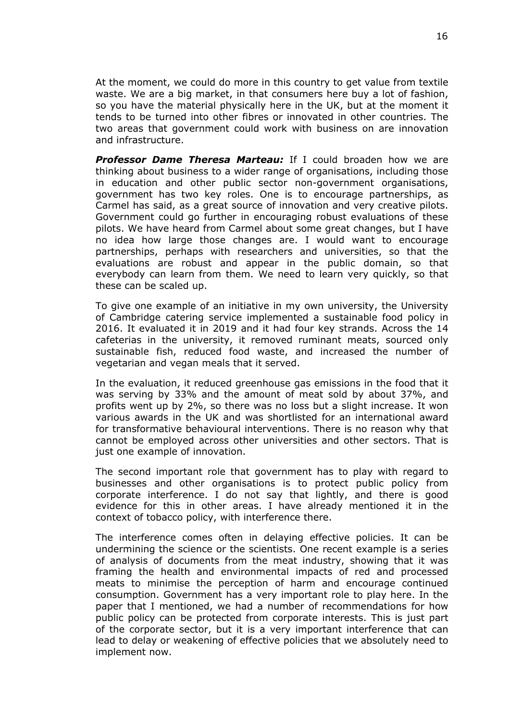At the moment, we could do more in this country to get value from textile waste. We are a big market, in that consumers here buy a lot of fashion, so you have the material physically here in the UK, but at the moment it tends to be turned into other fibres or innovated in other countries. The two areas that government could work with business on are innovation and infrastructure.

*Professor Dame Theresa Marteau:* If I could broaden how we are thinking about business to a wider range of organisations, including those in education and other public sector non-government organisations, government has two key roles. One is to encourage partnerships, as Carmel has said, as a great source of innovation and very creative pilots. Government could go further in encouraging robust evaluations of these pilots. We have heard from Carmel about some great changes, but I have no idea how large those changes are. I would want to encourage partnerships, perhaps with researchers and universities, so that the evaluations are robust and appear in the public domain, so that everybody can learn from them. We need to learn very quickly, so that these can be scaled up.

To give one example of an initiative in my own university, the University of Cambridge catering service implemented a sustainable food policy in 2016. It evaluated it in 2019 and it had four key strands. Across the 14 cafeterias in the university, it removed ruminant meats, sourced only sustainable fish, reduced food waste, and increased the number of vegetarian and vegan meals that it served.

In the evaluation, it reduced greenhouse gas emissions in the food that it was serving by 33% and the amount of meat sold by about 37%, and profits went up by 2%, so there was no loss but a slight increase. It won various awards in the UK and was shortlisted for an international award for transformative behavioural interventions. There is no reason why that cannot be employed across other universities and other sectors. That is just one example of innovation.

The second important role that government has to play with regard to businesses and other organisations is to protect public policy from corporate interference. I do not say that lightly, and there is good evidence for this in other areas. I have already mentioned it in the context of tobacco policy, with interference there.

The interference comes often in delaying effective policies. It can be undermining the science or the scientists. One recent example is a series of analysis of documents from the meat industry, showing that it was framing the health and environmental impacts of red and processed meats to minimise the perception of harm and encourage continued consumption. Government has a very important role to play here. In the paper that I mentioned, we had a number of recommendations for how public policy can be protected from corporate interests. This is just part of the corporate sector, but it is a very important interference that can lead to delay or weakening of effective policies that we absolutely need to implement now.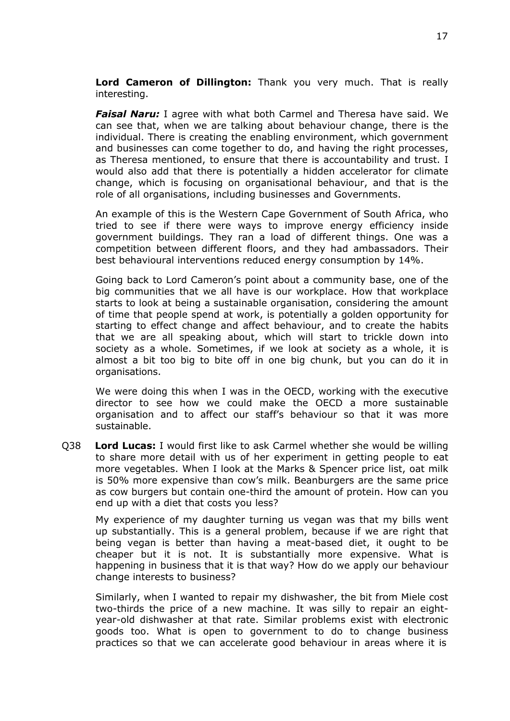**Lord Cameron of Dillington:** Thank you very much. That is really interesting.

*Faisal Naru:* I agree with what both Carmel and Theresa have said. We can see that, when we are talking about behaviour change, there is the individual. There is creating the enabling environment, which government and businesses can come together to do, and having the right processes, as Theresa mentioned, to ensure that there is accountability and trust. I would also add that there is potentially a hidden accelerator for climate change, which is focusing on organisational behaviour, and that is the role of all organisations, including businesses and Governments.

An example of this is the Western Cape Government of South Africa, who tried to see if there were ways to improve energy efficiency inside government buildings. They ran a load of different things. One was a competition between different floors, and they had ambassadors. Their best behavioural interventions reduced energy consumption by 14%.

Going back to Lord Cameron's point about a community base, one of the big communities that we all have is our workplace. How that workplace starts to look at being a sustainable organisation, considering the amount of time that people spend at work, is potentially a golden opportunity for starting to effect change and affect behaviour, and to create the habits that we are all speaking about, which will start to trickle down into society as a whole. Sometimes, if we look at society as a whole, it is almost a bit too big to bite off in one big chunk, but you can do it in organisations.

We were doing this when I was in the OECD, working with the executive director to see how we could make the OECD a more sustainable organisation and to affect our staff's behaviour so that it was more sustainable.

Q38 **Lord Lucas:** I would first like to ask Carmel whether she would be willing to share more detail with us of her experiment in getting people to eat more vegetables. When I look at the Marks & Spencer price list, oat milk is 50% more expensive than cow's milk. Beanburgers are the same price as cow burgers but contain one-third the amount of protein. How can you end up with a diet that costs you less?

My experience of my daughter turning us vegan was that my bills went up substantially. This is a general problem, because if we are right that being vegan is better than having a meat-based diet, it ought to be cheaper but it is not. It is substantially more expensive. What is happening in business that it is that way? How do we apply our behaviour change interests to business?

Similarly, when I wanted to repair my dishwasher, the bit from Miele cost two-thirds the price of a new machine. It was silly to repair an eightyear-old dishwasher at that rate. Similar problems exist with electronic goods too. What is open to government to do to change business practices so that we can accelerate good behaviour in areas where it is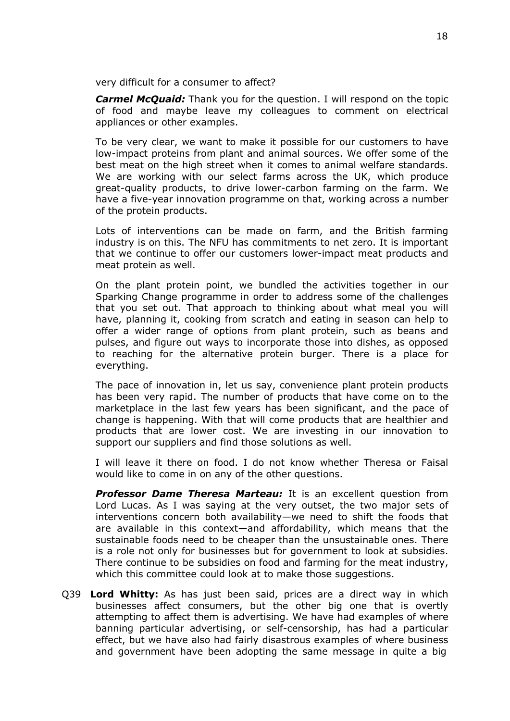very difficult for a consumer to affect?

*Carmel McQuaid:* Thank you for the question. I will respond on the topic of food and maybe leave my colleagues to comment on electrical appliances or other examples.

To be very clear, we want to make it possible for our customers to have low-impact proteins from plant and animal sources. We offer some of the best meat on the high street when it comes to animal welfare standards. We are working with our select farms across the UK, which produce great-quality products, to drive lower-carbon farming on the farm. We have a five-year innovation programme on that, working across a number of the protein products.

Lots of interventions can be made on farm, and the British farming industry is on this. The NFU has commitments to net zero. It is important that we continue to offer our customers lower-impact meat products and meat protein as well.

On the plant protein point, we bundled the activities together in our Sparking Change programme in order to address some of the challenges that you set out. That approach to thinking about what meal you will have, planning it, cooking from scratch and eating in season can help to offer a wider range of options from plant protein, such as beans and pulses, and figure out ways to incorporate those into dishes, as opposed to reaching for the alternative protein burger. There is a place for everything.

The pace of innovation in, let us say, convenience plant protein products has been very rapid. The number of products that have come on to the marketplace in the last few years has been significant, and the pace of change is happening. With that will come products that are healthier and products that are lower cost. We are investing in our innovation to support our suppliers and find those solutions as well.

I will leave it there on food. I do not know whether Theresa or Faisal would like to come in on any of the other questions.

*Professor Dame Theresa Marteau:* It is an excellent question from Lord Lucas. As I was saying at the very outset, the two major sets of interventions concern both availability—we need to shift the foods that are available in this context—and affordability, which means that the sustainable foods need to be cheaper than the unsustainable ones. There is a role not only for businesses but for government to look at subsidies. There continue to be subsidies on food and farming for the meat industry, which this committee could look at to make those suggestions.

Q39 **Lord Whitty:** As has just been said, prices are a direct way in which businesses affect consumers, but the other big one that is overtly attempting to affect them is advertising. We have had examples of where banning particular advertising, or self-censorship, has had a particular effect, but we have also had fairly disastrous examples of where business and government have been adopting the same message in quite a big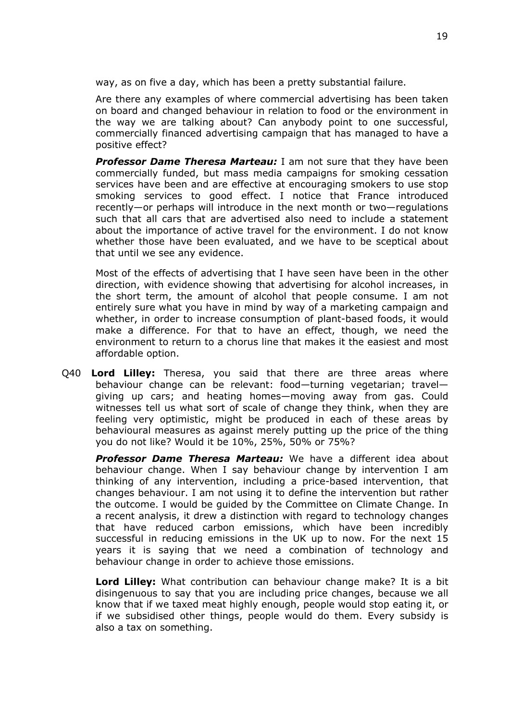way, as on five a day, which has been a pretty substantial failure.

Are there any examples of where commercial advertising has been taken on board and changed behaviour in relation to food or the environment in the way we are talking about? Can anybody point to one successful, commercially financed advertising campaign that has managed to have a positive effect?

*Professor Dame Theresa Marteau:* I am not sure that they have been commercially funded, but mass media campaigns for smoking cessation services have been and are effective at encouraging smokers to use stop smoking services to good effect. I notice that France introduced recently—or perhaps will introduce in the next month or two—regulations such that all cars that are advertised also need to include a statement about the importance of active travel for the environment. I do not know whether those have been evaluated, and we have to be sceptical about that until we see any evidence.

Most of the effects of advertising that I have seen have been in the other direction, with evidence showing that advertising for alcohol increases, in the short term, the amount of alcohol that people consume. I am not entirely sure what you have in mind by way of a marketing campaign and whether, in order to increase consumption of plant-based foods, it would make a difference. For that to have an effect, though, we need the environment to return to a chorus line that makes it the easiest and most affordable option.

Q40 **Lord Lilley:** Theresa, you said that there are three areas where behaviour change can be relevant: food—turning vegetarian; travel giving up cars; and heating homes—moving away from gas. Could witnesses tell us what sort of scale of change they think, when they are feeling very optimistic, might be produced in each of these areas by behavioural measures as against merely putting up the price of the thing you do not like? Would it be 10%, 25%, 50% or 75%?

*Professor Dame Theresa Marteau:* We have a different idea about behaviour change. When I say behaviour change by intervention I am thinking of any intervention, including a price-based intervention, that changes behaviour. I am not using it to define the intervention but rather the outcome. I would be guided by the Committee on Climate Change. In a recent analysis, it drew a distinction with regard to technology changes that have reduced carbon emissions, which have been incredibly successful in reducing emissions in the UK up to now. For the next 15 years it is saying that we need a combination of technology and behaviour change in order to achieve those emissions.

**Lord Lilley:** What contribution can behaviour change make? It is a bit disingenuous to say that you are including price changes, because we all know that if we taxed meat highly enough, people would stop eating it, or if we subsidised other things, people would do them. Every subsidy is also a tax on something.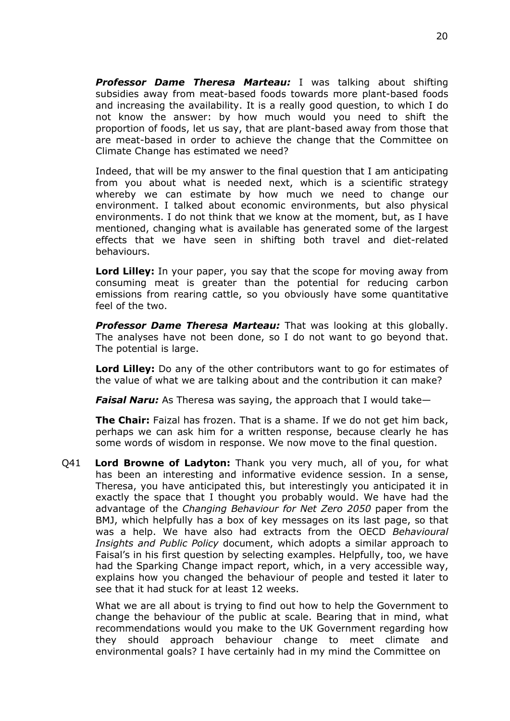*Professor Dame Theresa Marteau:* I was talking about shifting subsidies away from meat-based foods towards more plant-based foods and increasing the availability. It is a really good question, to which I do not know the answer: by how much would you need to shift the proportion of foods, let us say, that are plant-based away from those that are meat-based in order to achieve the change that the Committee on Climate Change has estimated we need?

Indeed, that will be my answer to the final question that I am anticipating from you about what is needed next, which is a scientific strategy whereby we can estimate by how much we need to change our environment. I talked about economic environments, but also physical environments. I do not think that we know at the moment, but, as I have mentioned, changing what is available has generated some of the largest effects that we have seen in shifting both travel and diet-related behaviours.

**Lord Lilley:** In your paper, you say that the scope for moving away from consuming meat is greater than the potential for reducing carbon emissions from rearing cattle, so you obviously have some quantitative feel of the two.

*Professor Dame Theresa Marteau:* That was looking at this globally. The analyses have not been done, so I do not want to go beyond that. The potential is large.

**Lord Lilley:** Do any of the other contributors want to go for estimates of the value of what we are talking about and the contribution it can make?

*Faisal Naru:* As Theresa was saying, the approach that I would take—

**The Chair:** Faizal has frozen. That is a shame. If we do not get him back, perhaps we can ask him for a written response, because clearly he has some words of wisdom in response. We now move to the final question.

Q41 **Lord Browne of Ladyton:** Thank you very much, all of you, for what has been an interesting and informative evidence session. In a sense, Theresa, you have anticipated this, but interestingly you anticipated it in exactly the space that I thought you probably would. We have had the advantage of the *Changing Behaviour for Net Zero 2050* paper from the BMJ, which helpfully has a box of key messages on its last page, so that was a help. We have also had extracts from the OECD *Behavioural Insights and Public Policy* document, which adopts a similar approach to Faisal's in his first question by selecting examples. Helpfully, too, we have had the Sparking Change impact report, which, in a very accessible way, explains how you changed the behaviour of people and tested it later to see that it had stuck for at least 12 weeks.

What we are all about is trying to find out how to help the Government to change the behaviour of the public at scale. Bearing that in mind, what recommendations would you make to the UK Government regarding how they should approach behaviour change to meet climate and environmental goals? I have certainly had in my mind the Committee on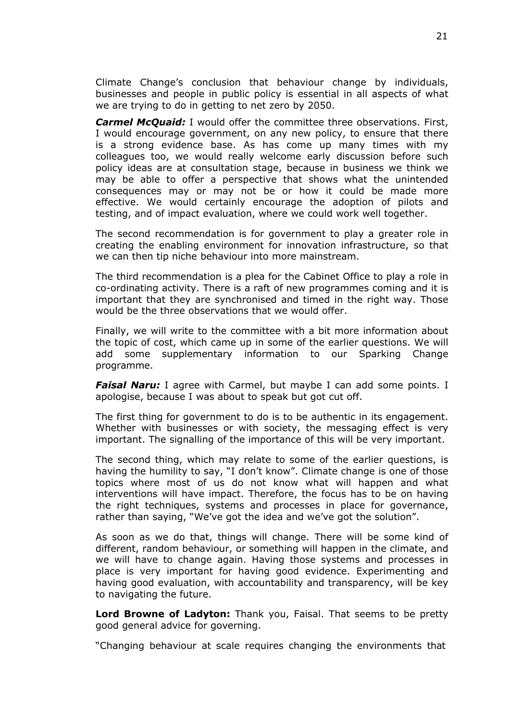Climate Change's conclusion that behaviour change by individuals, businesses and people in public policy is essential in all aspects of what we are trying to do in getting to net zero by 2050.

*Carmel McQuaid:* I would offer the committee three observations. First, I would encourage government, on any new policy, to ensure that there is a strong evidence base. As has come up many times with my colleagues too, we would really welcome early discussion before such policy ideas are at consultation stage, because in business we think we may be able to offer a perspective that shows what the unintended consequences may or may not be or how it could be made more effective. We would certainly encourage the adoption of pilots and testing, and of impact evaluation, where we could work well together.

The second recommendation is for government to play a greater role in creating the enabling environment for innovation infrastructure, so that we can then tip niche behaviour into more mainstream.

The third recommendation is a plea for the Cabinet Office to play a role in co-ordinating activity. There is a raft of new programmes coming and it is important that they are synchronised and timed in the right way. Those would be the three observations that we would offer.

Finally, we will write to the committee with a bit more information about the topic of cost, which came up in some of the earlier questions. We will add some supplementary information to our Sparking Change programme.

*Faisal Naru:* I agree with Carmel, but maybe I can add some points. I apologise, because I was about to speak but got cut off.

The first thing for government to do is to be authentic in its engagement. Whether with businesses or with society, the messaging effect is very important. The signalling of the importance of this will be very important.

The second thing, which may relate to some of the earlier questions, is having the humility to say, "I don't know". Climate change is one of those topics where most of us do not know what will happen and what interventions will have impact. Therefore, the focus has to be on having the right techniques, systems and processes in place for governance, rather than saying, "We've got the idea and we've got the solution".

As soon as we do that, things will change. There will be some kind of different, random behaviour, or something will happen in the climate, and we will have to change again. Having those systems and processes in place is very important for having good evidence. Experimenting and having good evaluation, with accountability and transparency, will be key to navigating the future.

**Lord Browne of Ladyton:** Thank you, Faisal. That seems to be pretty good general advice for governing.

"Changing behaviour at scale requires changing the environments that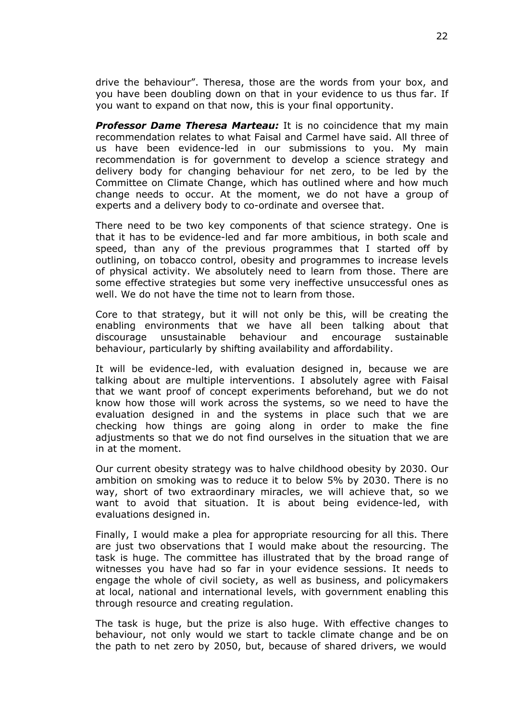drive the behaviour". Theresa, those are the words from your box, and you have been doubling down on that in your evidence to us thus far. If you want to expand on that now, this is your final opportunity.

*Professor Dame Theresa Marteau:* It is no coincidence that my main recommendation relates to what Faisal and Carmel have said. All three of us have been evidence-led in our submissions to you. My main recommendation is for government to develop a science strategy and delivery body for changing behaviour for net zero, to be led by the Committee on Climate Change, which has outlined where and how much change needs to occur. At the moment, we do not have a group of experts and a delivery body to co-ordinate and oversee that.

There need to be two key components of that science strategy. One is that it has to be evidence-led and far more ambitious, in both scale and speed, than any of the previous programmes that I started off by outlining, on tobacco control, obesity and programmes to increase levels of physical activity. We absolutely need to learn from those. There are some effective strategies but some very ineffective unsuccessful ones as well. We do not have the time not to learn from those.

Core to that strategy, but it will not only be this, will be creating the enabling environments that we have all been talking about that discourage unsustainable behaviour and encourage sustainable behaviour, particularly by shifting availability and affordability.

It will be evidence-led, with evaluation designed in, because we are talking about are multiple interventions. I absolutely agree with Faisal that we want proof of concept experiments beforehand, but we do not know how those will work across the systems, so we need to have the evaluation designed in and the systems in place such that we are checking how things are going along in order to make the fine adjustments so that we do not find ourselves in the situation that we are in at the moment.

Our current obesity strategy was to halve childhood obesity by 2030. Our ambition on smoking was to reduce it to below 5% by 2030. There is no way, short of two extraordinary miracles, we will achieve that, so we want to avoid that situation. It is about being evidence-led, with evaluations designed in.

Finally, I would make a plea for appropriate resourcing for all this. There are just two observations that I would make about the resourcing. The task is huge. The committee has illustrated that by the broad range of witnesses you have had so far in your evidence sessions. It needs to engage the whole of civil society, as well as business, and policymakers at local, national and international levels, with government enabling this through resource and creating regulation.

The task is huge, but the prize is also huge. With effective changes to behaviour, not only would we start to tackle climate change and be on the path to net zero by 2050, but, because of shared drivers, we would